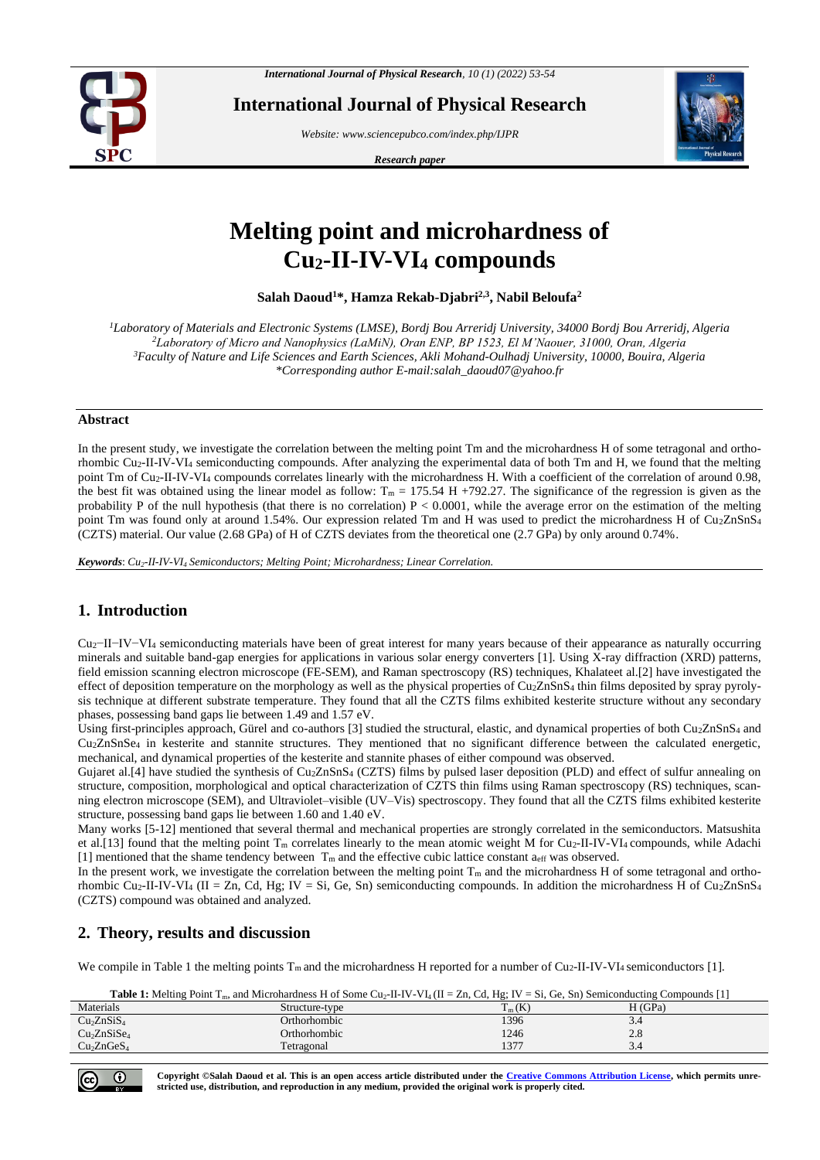*International Journal of Physical Research, 10 (1) (2022) 53-54*



**International Journal of Physical Research**

*Website: www.sciencepubco.com/index.php/IJPR* 

*Research paper*



# **Melting point and microhardness of Cu2-II-IV-VI<sup>4</sup> compounds**

**Salah Daoud<sup>1</sup>\*, Hamza Rekab-Djabri2,3 , Nabil Beloufa<sup>2</sup>**

*Laboratory of Materials and Electronic Systems (LMSE), Bordj Bou Arreridj University, 34000 Bordj Bou Arreridj, Algeria Laboratory of Micro and Nanophysics (LaMiN), Oran ENP, BP 1523, El M'Naouer, 31000, Oran, Algeria Faculty of Nature and Life Sciences and Earth Sciences, Akli Mohand-Oulhadj University, 10000, Bouira, Algeria \*Corresponding author E-mail:salah\_daoud07@yahoo.fr*

### **Abstract**

In the present study, we investigate the correlation between the melting point Tm and the microhardness H of some tetragonal and orthorhombic Cu2-II-IV-VI<sup>4</sup> semiconducting compounds. After analyzing the experimental data of both Tm and H, we found that the melting point Tm of Cu2-II-IV-VI<sup>4</sup> compounds correlates linearly with the microhardness H. With a coefficient of the correlation of around 0.98, the best fit was obtained using the linear model as follow:  $T_m = 175.54 \text{ H} + 792.27$ . The significance of the regression is given as the probability P of the null hypothesis (that there is no correlation)  $P < 0.0001$ , while the average error on the estimation of the melting point Tm was found only at around 1.54%. Our expression related Tm and H was used to predict the microhardness H of Cu2ZnSnS4 (CZTS) material. Our value (2.68 GPa) of H of CZTS deviates from the theoretical one (2.7 GPa) by only around 0.74%.

*Keywords*: *Cu2-II-IV-VI<sup>4</sup> Semiconductors; Melting Point; Microhardness; Linear Correlation.*

# **1. Introduction**

Cu2−II−IV−VI<sup>4</sup> semiconducting materials have been of great interest for many years because of their appearance as naturally occurring minerals and suitable band-gap energies for applications in various solar energy converters [1]. Using X-ray diffraction (XRD) patterns, field emission scanning electron microscope (FE-SEM), and Raman spectroscopy (RS) techniques, Khalateet al.[2] have investigated the effect of deposition temperature on the morphology as well as the physical properties of Cu<sub>2</sub>ZnSnS<sub>4</sub> thin films deposited by spray pyrolysis technique at different substrate temperature. They found that all the CZTS films exhibited kesterite structure without any secondary phases, possessing band gaps lie between 1.49 and 1.57 eV.

Using first-principles approach, Gürel and co-authors [3] studied the structural, elastic, and dynamical properties of both Cu2ZnSnS<sup>4</sup> and Cu2ZnSnSe<sup>4</sup> in kesterite and stannite structures. They mentioned that no significant difference between the calculated energetic, mechanical, and dynamical properties of the kesterite and stannite phases of either compound was observed.

Gujaret al.[4] have studied the synthesis of Cu2ZnSnS<sup>4</sup> (CZTS) films by pulsed laser deposition (PLD) and effect of sulfur annealing on structure, composition, morphological and optical characterization of CZTS thin films using Raman spectroscopy (RS) techniques, scanning electron microscope (SEM), and Ultraviolet–visible (UV–Vis) spectroscopy. They found that all the CZTS films exhibited kesterite structure, possessing band gaps lie between 1.60 and 1.40 eV.

Many works [5-12] mentioned that several thermal and mechanical properties are strongly correlated in the semiconductors. Matsushita et al.[13] found that the melting point  $T_m$  correlates linearly to the mean atomic weight M for Cu<sub>2</sub>-II-IV-VI<sub>4</sub> compounds, while Adachi [1] mentioned that the shame tendency between  $T_m$  and the effective cubic lattice constant aeff was observed.

In the present work, we investigate the correlation between the melting point  $T_m$  and the microhardness H of some tetragonal and orthorhombic Cu<sub>2</sub>-II-IV-VI<sub>4</sub> (II = Zn, Cd, Hg; IV = Si, Ge, Sn) semiconducting compounds. In addition the microhardness H of Cu<sub>2</sub>ZnSnS<sub>4</sub> (CZTS) compound was obtained and analyzed.

# **2. Theory, results and discussion**

We compile in Table 1 the melting points  $T_m$  and the microhardness H reported for a number of Cu<sub>2</sub>-II-IV-VI<sub>4</sub> semiconductors [1].

| <b>Table 1:</b> Melting Point $T_m$ , and Microhardness H of Some Cu <sub>2</sub> -II-IV-VI <sub>4</sub> (II = Zn, Cd, Hg; IV = Si, Ge, Sn) Semiconducting Compounds [1] |
|--------------------------------------------------------------------------------------------------------------------------------------------------------------------------|
|--------------------------------------------------------------------------------------------------------------------------------------------------------------------------|

|                                     |                | . .<br>_______ |            |  |
|-------------------------------------|----------------|----------------|------------|--|
| Materials                           | Structure-type | $_{\rm m}$ (K) | H(GPa)     |  |
| Cu <sub>2</sub> ZnSiS <sub>4</sub>  | Orthorhombic   | 1396           | 5.4        |  |
| Cu <sub>2</sub> ZnSiSe <sub>4</sub> | Orthorhombic   | 1246           | റ പ<br>2.8 |  |
| $Cu2 2 2 2$                         | Tetragonal     | 1377           | ء.د        |  |
|                                     |                |                |            |  |



**Copyright ©Salah Daoud et al. This is an open access article distributed under the [Creative Commons Attribution License,](http://creativecommons.org/licenses/by/3.0/) which permits unrestricted use, distribution, and reproduction in any medium, provided the original work is properly cited.**